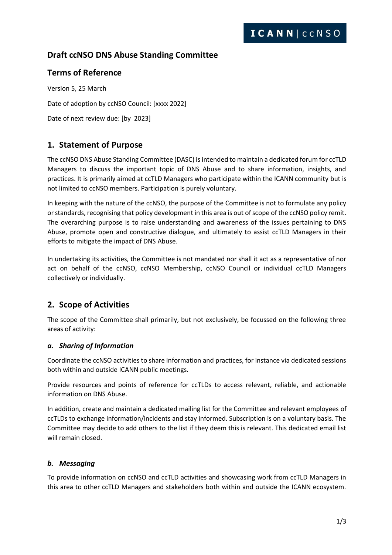# **Draft ccNSO DNS Abuse Standing Committee**

## **Terms of Reference**

Version 5, 25 March Date of adoption by ccNSO Council: [xxxx 2022] Date of next review due: [by 2023]

# **1. Statement of Purpose**

The ccNSO DNS Abuse Standing Committee (DASC) is intended to maintain a dedicated forum for ccTLD Managers to discuss the important topic of DNS Abuse and to share information, insights, and practices. It is primarily aimed at ccTLD Managers who participate within the ICANN community but is not limited to ccNSO members. Participation is purely voluntary.

In keeping with the nature of the ccNSO, the purpose of the Committee is not to formulate any policy or standards, recognising that policy development in this area is out of scope of the ccNSO policy remit. The overarching purpose is to raise understanding and awareness of the issues pertaining to DNS Abuse, promote open and constructive dialogue, and ultimately to assist ccTLD Managers in their efforts to mitigate the impact of DNS Abuse.

In undertaking its activities, the Committee is not mandated nor shall it act as a representative of nor act on behalf of the ccNSO, ccNSO Membership, ccNSO Council or individual ccTLD Managers collectively or individually.

# **2. Scope of Activities**

The scope of the Committee shall primarily, but not exclusively, be focussed on the following three areas of activity:

### *a. Sharing of Information*

Coordinate the ccNSO activities to share information and practices, for instance via dedicated sessions both within and outside ICANN public meetings.

Provide resources and points of reference for ccTLDs to access relevant, reliable, and actionable information on DNS Abuse.

In addition, create and maintain a dedicated mailing list for the Committee and relevant employees of ccTLDs to exchange information/incidents and stay informed. Subscription is on a voluntary basis. The Committee may decide to add others to the list if they deem this is relevant. This dedicated email list will remain closed.

### *b. Messaging*

To provide information on ccNSO and ccTLD activities and showcasing work from ccTLD Managers in this area to other ccTLD Managers and stakeholders both within and outside the ICANN ecosystem.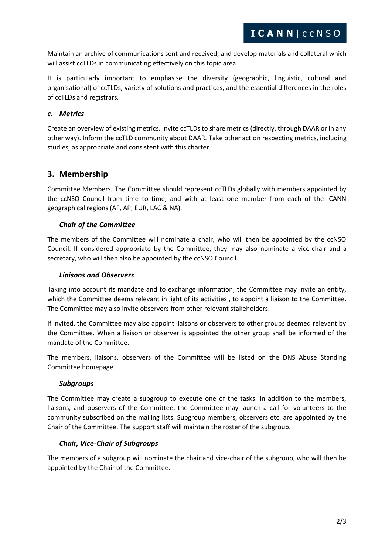Maintain an archive of communications sent and received, and develop materials and collateral which will assist ccTLDs in communicating effectively on this topic area.

It is particularly important to emphasise the diversity (geographic, linguistic, cultural and organisational) of ccTLDs, variety of solutions and practices, and the essential differences in the roles of ccTLDs and registrars.

#### *c. Metrics*

Create an overview of existing metrics. Invite ccTLDs to share metrics (directly, through DAAR or in any other way). Inform the ccTLD community about DAAR. Take other action respecting metrics, including studies, as appropriate and consistent with this charter.

## **3. Membership**

Committee Members. The Committee should represent ccTLDs globally with members appointed by the ccNSO Council from time to time, and with at least one member from each of the ICANN geographical regions (AF, AP, EUR, LAC & NA).

### *Chair of the Committee*

The members of the Committee will nominate a chair, who will then be appointed by the ccNSO Council. If considered appropriate by the Committee, they may also nominate a vice-chair and a secretary, who will then also be appointed by the ccNSO Council.

#### *Liaisons and Observers*

Taking into account its mandate and to exchange information, the Committee may invite an entity, which the Committee deems relevant in light of its activities, to appoint a liaison to the Committee. The Committee may also invite observers from other relevant stakeholders.

If invited, the Committee may also appoint liaisons or observers to other groups deemed relevant by the Committee. When a liaison or observer is appointed the other group shall be informed of the mandate of the Committee.

The members, liaisons, observers of the Committee will be listed on the DNS Abuse Standing Committee homepage.

#### *Subgroups*

The Committee may create a subgroup to execute one of the tasks. In addition to the members, liaisons, and observers of the Committee, the Committee may launch a call for volunteers to the community subscribed on the mailing lists. Subgroup members, observers etc. are appointed by the Chair of the Committee. The support staff will maintain the roster of the subgroup.

#### *Chair, Vice-Chair of Subgroups*

The members of a subgroup will nominate the chair and vice-chair of the subgroup, who will then be appointed by the Chair of the Committee.